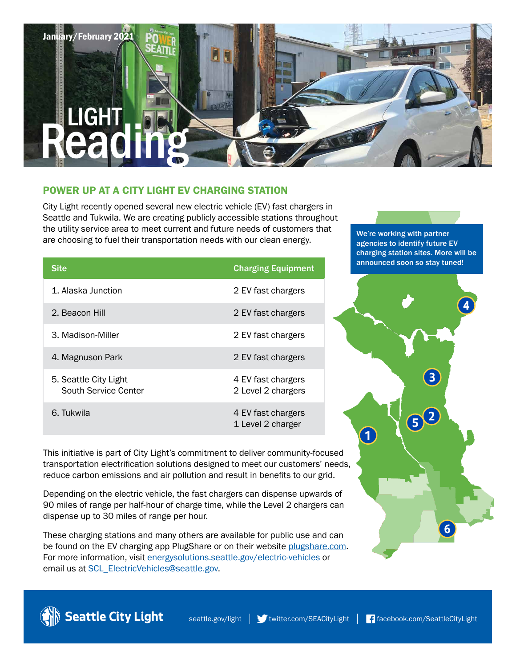# January/February 2021 LIGHT

# POWER UP AT A CITY LIGHT EV CHARGING STATION

City Light recently opened several new electric vehicle (EV) fast chargers in Seattle and Tukwila. We are creating publicly accessible stations throughout the utility service area to meet current and future needs of customers that are choosing to fuel their transportation needs with our clean energy.

| <b>Site</b>                                   | <b>Charging Equipment</b>                |
|-----------------------------------------------|------------------------------------------|
| 1. Alaska Junction                            | 2 EV fast chargers                       |
| 2. Beacon Hill                                | 2 EV fast chargers                       |
| 3. Madison-Miller                             | 2 EV fast chargers                       |
| 4. Magnuson Park                              | 2 EV fast chargers                       |
| 5. Seattle City Light<br>South Service Center | 4 EV fast chargers<br>2 Level 2 chargers |
| 6. Tukwila                                    | 4 EV fast chargers<br>1 Level 2 charger  |

We're working with partner agencies to identify future EV charging station sites. More will be announced soon so stay tuned!



This initiative is part of City Light's commitment to deliver community-focused transportation electrification solutions designed to meet our customers' needs, reduce carbon emissions and air pollution and result in benefits to our grid.

Depending on the electric vehicle, the fast chargers can dispense upwards of 90 miles of range per half-hour of charge time, while the Level 2 chargers can dispense up to 30 miles of range per hour.

These charging stations and many others are available for public use and can be found on the EV charging app PlugShare or on their website [plugshare.com.](http://www.plugshare.com) For more information, visit [energysolutions.seattle.gov/electric-vehicles](http://www.energysolutions.seattle.gov/electric-vehicles) or email us at SCL\_ElectricVehicles@seattle.gov.

Seattle City Light